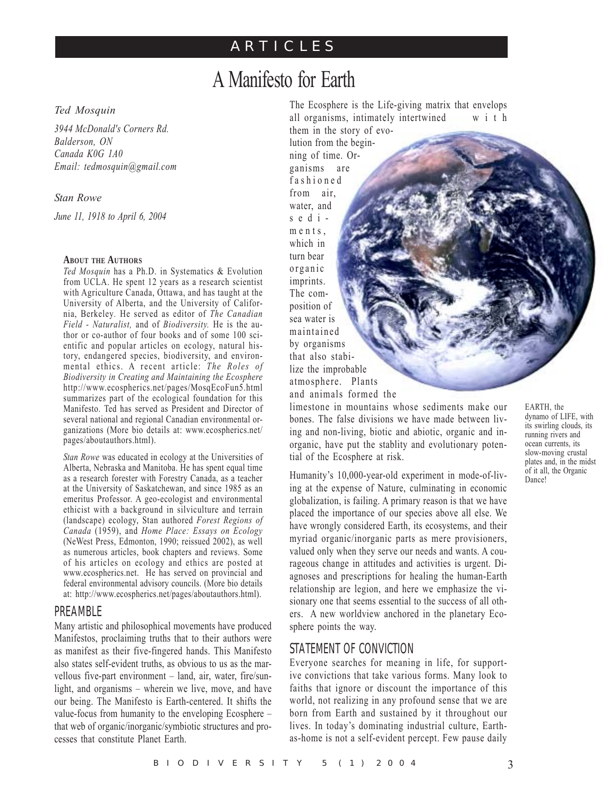# $ARTICLES$

# A Manifesto for Earth

#### *Ted Mosquin*

*3944 McDonald's Corners Rd. Balderson, ON Canada K0G 1A0 Email: tedmosquin@gmail.com*

#### *Stan Rowe*

*June 11, 1918 to April 6, 2004*

#### **ABOUT THE AUTHORS**

*Ted Mosquin* has a Ph.D. in Systematics & Evolution from UCLA. He spent 12 years as a research scientist with Agriculture Canada, Ottawa, and has taught at the University of Alberta, and the University of California, Berkeley*.* He served as editor of *The Canadian Field - Naturalist,* and of *Biodiversity.* He is the author or co-author of four books and of some 100 scientific and popular articles on ecology, natural history, endangered species, biodiversity, and environmental ethics. A recent article: *The Roles of Biodiversity in Creating and Maintaining the Ecosphere* http://www.ecospherics.net/pages/MosqEcoFun5.html summarizes part of the ecological foundation for this Manifesto. Ted has served as President and Director of several national and regional Canadian environmental organizations (More bio details at: www.ecospherics.net/ pages/aboutauthors.html).

*Stan Rowe* was educated in ecology at the Universities of Alberta, Nebraska and Manitoba. He has spent equal time as a research forester with Forestry Canada, as a teacher at the University of Saskatchewan, and since 1985 as an emeritus Professor. A geo-ecologist and environmental ethicist with a background in silviculture and terrain (landscape) ecology, Stan authored *Forest Regions of Canada* (1959), and *Home Place: Essays on Ecology* (NeWest Press, Edmonton, 1990; reissued 2002), as well as numerous articles, book chapters and reviews. Some of his articles on ecology and ethics are posted at www.ecospherics.net. He has served on provincial and federal environmental advisory councils. (More bio details at: http://www.ecospherics.net/pages/aboutauthors.html).

# PREAMBLE

Many artistic and philosophical movements have produced Manifestos, proclaiming truths that to their authors were as manifest as their five-fingered hands. This Manifesto also states self-evident truths, as obvious to us as the marvellous five-part environment – land, air, water, fire/sunlight, and organisms – wherein we live, move, and have our being. The Manifesto is Earth-centered. It shifts the value-focus from humanity to the enveloping Ecosphere – that web of organic/inorganic/symbiotic structures and processes that constitute Planet Earth.

The Ecosphere is the Life-giving matrix that envelops all organisms, intimately intertwined w i t h them in the story of evo-

lution from the beginning of time. Organisms are fashioned from air, water, and sediments. which in turn bear organic imprints. The composition of sea water is maintained by organisms that also stabilize the improbable atmosphere. Plants and animals formed the

limestone in mountains whose sediments make our bones. The false divisions we have made between living and non-living, biotic and abiotic, organic and inorganic, have put the stablity and evolutionary potential of the Ecosphere at risk.

Humanity's 10,000-year-old experiment in mode-of-living at the expense of Nature, culminating in economic globalization, is failing. A primary reason is that we have placed the importance of our species above all else. We have wrongly considered Earth, its ecosystems, and their myriad organic/inorganic parts as mere provisioners, valued only when they serve our needs and wants. A courageous change in attitudes and activities is urgent. Diagnoses and prescriptions for healing the human-Earth relationship are legion, and here we emphasize the visionary one that seems essential to the success of all others. A new worldview anchored in the planetary Ecosphere points the way.

# STATEMENT OF CONVICTION

Everyone searches for meaning in life, for supportive convictions that take various forms. Many look to faiths that ignore or discount the importance of this world, not realizing in any profound sense that we are born from Earth and sustained by it throughout our lives. In today's dominating industrial culture, Earthas-home is not a self-evident percept. Few pause daily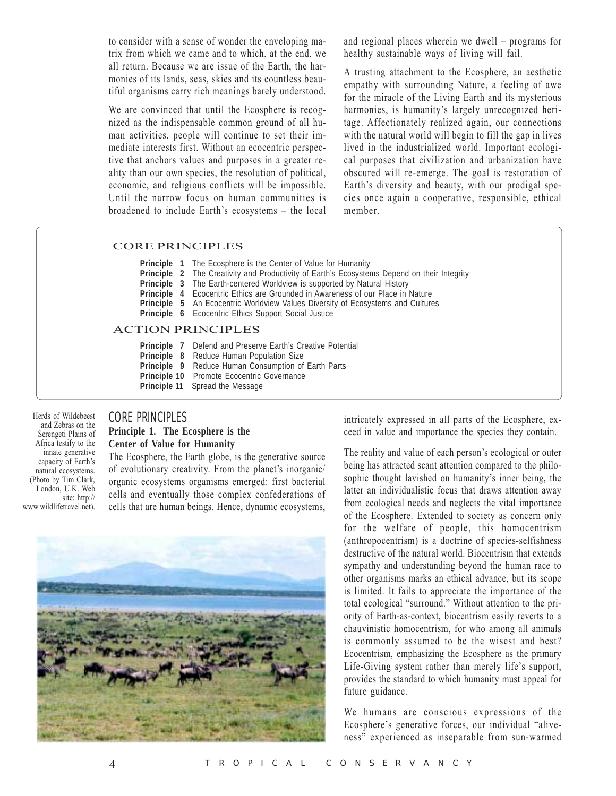to consider with a sense of wonder the enveloping matrix from which we came and to which, at the end, we all return. Because we are issue of the Earth, the harmonies of its lands, seas, skies and its countless beautiful organisms carry rich meanings barely understood.

We are convinced that until the Ecosphere is recognized as the indispensable common ground of all human activities, people will continue to set their immediate interests first. Without an ecocentric perspective that anchors values and purposes in a greater reality than our own species, the resolution of political, economic, and religious conflicts will be impossible. Until the narrow focus on human communities is broadened to include Earth's ecosystems – the local and regional places wherein we dwell – programs for healthy sustainable ways of living will fail.

A trusting attachment to the Ecosphere, an aesthetic empathy with surrounding Nature, a feeling of awe for the miracle of the Living Earth and its mysterious harmonies, is humanity's largely unrecognized heritage. Affectionately realized again, our connections with the natural world will begin to fill the gap in lives lived in the industrialized world. Important ecological purposes that civilization and urbanization have obscured will re-emerge. The goal is restoration of Earth's diversity and beauty, with our prodigal species once again a cooperative, responsible, ethical member.

#### CORE PRINCIPLES

**Principle 1** The Ecosphere is the Center of Value for Humanity **Principle 2** The Creativity and Productivity of Earth's Ecosystems Depend on their Integrity **Principle 3** The Earth-centered Worldview is supported by Natural History **Principle 4** Ecocentric Ethics are Grounded in Awareness of our Place in Nature **Principle 5** An Ecocentric Worldview Values Diversity of Ecosystems and Cultures **Principle 6** Ecocentric Ethics Support Social Justice ACTION PRINCIPLES **Principle 7** Defend and Preserve Earth's Creative Potential **Principle 8** Reduce Human Population Size **Principle 9** Reduce Human Consumption of Earth Parts **Principle 10** Promote Ecocentric Governance **Principle 11** Spread the Message

Herds of Wildebeest and Zebras on the Serengeti Plains of Africa testify to the innate generative capacity of Earth's natural ecosystems. (Photo by Tim Clark, London, U.K. Web site: http:// www.wildlifetravel.net).

# CORE PRINCIPLES

# **Principle 1. The Ecosphere is the Center of Value for Humanity**

The Ecosphere, the Earth globe, is the generative source of evolutionary creativity. From the planet's inorganic/ organic ecosystems organisms emerged: first bacterial cells and eventually those complex confederations of cells that are human beings. Hence, dynamic ecosystems,



intricately expressed in all parts of the Ecosphere, exceed in value and importance the species they contain.

The reality and value of each person's ecological or outer being has attracted scant attention compared to the philosophic thought lavished on humanity's inner being, the latter an individualistic focus that draws attention away from ecological needs and neglects the vital importance of the Ecosphere. Extended to society as concern only for the welfare of people, this homocentrism (anthropocentrism) is a doctrine of species-selfishness destructive of the natural world. Biocentrism that extends sympathy and understanding beyond the human race to other organisms marks an ethical advance, but its scope is limited. It fails to appreciate the importance of the total ecological "surround." Without attention to the priority of Earth-as-context, biocentrism easily reverts to a chauvinistic homocentrism, for who among all animals is commonly assumed to be the wisest and best? Ecocentrism, emphasizing the Ecosphere as the primary Life-Giving system rather than merely life's support, provides the standard to which humanity must appeal for future guidance.

We humans are conscious expressions of the Ecosphere's generative forces, our individual "aliveness" experienced as inseparable from sun-warmed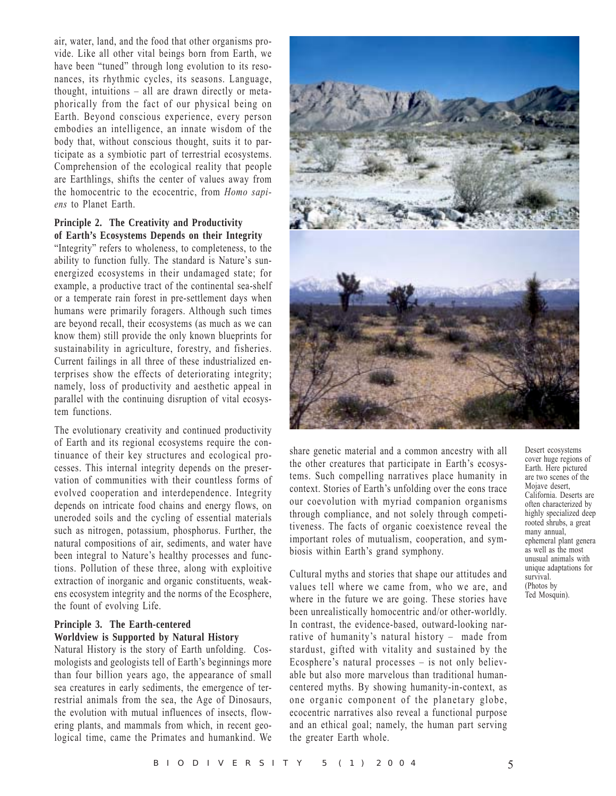air, water, land, and the food that other organisms provide. Like all other vital beings born from Earth, we have been "tuned" through long evolution to its resonances, its rhythmic cycles, its seasons. Language, thought, intuitions – all are drawn directly or metaphorically from the fact of our physical being on Earth. Beyond conscious experience, every person embodies an intelligence, an innate wisdom of the body that, without conscious thought, suits it to participate as a symbiotic part of terrestrial ecosystems. Comprehension of the ecological reality that people are Earthlings, shifts the center of values away from the homocentric to the ecocentric, from *Homo sapiens* to Planet Earth.

#### **Principle 2. The Creativity and Productivity of Earth's Ecosystems Depends on their Integrity**

"Integrity" refers to wholeness, to completeness, to the ability to function fully. The standard is Nature's sunenergized ecosystems in their undamaged state; for example, a productive tract of the continental sea-shelf or a temperate rain forest in pre-settlement days when humans were primarily foragers. Although such times are beyond recall, their ecosystems (as much as we can know them) still provide the only known blueprints for sustainability in agriculture, forestry, and fisheries. Current failings in all three of these industrialized enterprises show the effects of deteriorating integrity; namely, loss of productivity and aesthetic appeal in parallel with the continuing disruption of vital ecosystem functions.

The evolutionary creativity and continued productivity of Earth and its regional ecosystems require the continuance of their key structures and ecological processes. This internal integrity depends on the preservation of communities with their countless forms of evolved cooperation and interdependence. Integrity depends on intricate food chains and energy flows, on uneroded soils and the cycling of essential materials such as nitrogen, potassium, phosphorus. Further, the natural compositions of air, sediments, and water have been integral to Nature's healthy processes and functions. Pollution of these three, along with exploitive extraction of inorganic and organic constituents, weakens ecosystem integrity and the norms of the Ecosphere, the fount of evolving Life.

### **Principle 3. The Earth-centered Worldview is Supported by Natural History**

Natural History is the story of Earth unfolding. Cosmologists and geologists tell of Earth's beginnings more than four billion years ago, the appearance of small sea creatures in early sediments, the emergence of terrestrial animals from the sea, the Age of Dinosaurs, the evolution with mutual influences of insects, flowering plants, and mammals from which, in recent geological time, came the Primates and humankind. We



share genetic material and a common ancestry with all the other creatures that participate in Earth's ecosystems. Such compelling narratives place humanity in context. Stories of Earth's unfolding over the eons trace our coevolution with myriad companion organisms through compliance, and not solely through competitiveness. The facts of organic coexistence reveal the important roles of mutualism, cooperation, and symbiosis within Earth's grand symphony.

Cultural myths and stories that shape our attitudes and values tell where we came from, who we are, and where in the future we are going. These stories have been unrealistically homocentric and/or other-worldly. In contrast, the evidence-based, outward-looking narrative of humanity's natural history – made from stardust, gifted with vitality and sustained by the Ecosphere's natural processes – is not only believable but also more marvelous than traditional humancentered myths. By showing humanity-in-context, as one organic component of the planetary globe, ecocentric narratives also reveal a functional purpose and an ethical goal; namely, the human part serving the greater Earth whole.

Desert ecosystems cover huge regions of Earth. Here pictured are two scenes of the Mojave desert, California. Deserts are often characterized by highly specialized deep rooted shrubs, a great many annual, ephemeral plant genera as well as the most unusual animals with unique adaptations for survival. (Photos by Ted Mosquin).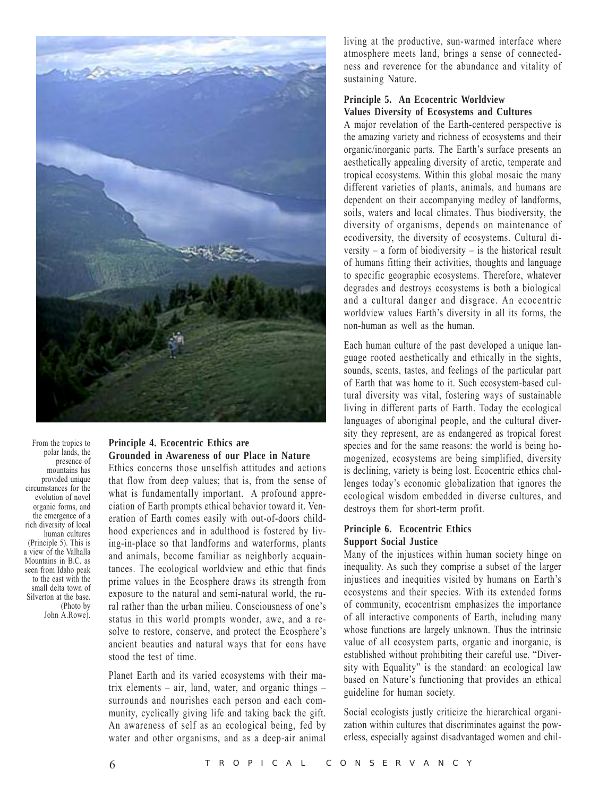

From the tropics to polar lands, the presence of mountains has provided unique circumstances for the evolution of novel organic forms, and the emergence of a rich diversity of local human cultures (Principle 5). This is a view of the Valhalla Mountains in B.C. as seen from Idaho peak to the east with the small delta town of Silverton at the base. (Photo by John A.Rowe).

#### **Principle 4. Ecocentric Ethics are Grounded in Awareness of our Place in Nature**

Ethics concerns those unselfish attitudes and actions that flow from deep values; that is, from the sense of what is fundamentally important. A profound appreciation of Earth prompts ethical behavior toward it. Veneration of Earth comes easily with out-of-doors childhood experiences and in adulthood is fostered by living-in-place so that landforms and waterforms, plants and animals, become familiar as neighborly acquaintances. The ecological worldview and ethic that finds prime values in the Ecosphere draws its strength from exposure to the natural and semi-natural world, the rural rather than the urban milieu. Consciousness of one's status in this world prompts wonder, awe, and a resolve to restore, conserve, and protect the Ecosphere's ancient beauties and natural ways that for eons have stood the test of time.

Planet Earth and its varied ecosystems with their matrix elements – air, land, water, and organic things – surrounds and nourishes each person and each community, cyclically giving life and taking back the gift. An awareness of self as an ecological being, fed by water and other organisms, and as a deep-air animal

living at the productive, sun-warmed interface where atmosphere meets land, brings a sense of connectedness and reverence for the abundance and vitality of sustaining Nature.

## **Principle 5. An Ecocentric Worldview Values Diversity of Ecosystems and Cultures**

A major revelation of the Earth-centered perspective is the amazing variety and richness of ecosystems and their organic/inorganic parts. The Earth's surface presents an aesthetically appealing diversity of arctic, temperate and tropical ecosystems. Within this global mosaic the many different varieties of plants, animals, and humans are dependent on their accompanying medley of landforms, soils, waters and local climates. Thus biodiversity, the diversity of organisms, depends on maintenance of ecodiversity, the diversity of ecosystems. Cultural diversity – a form of biodiversity – is the historical result of humans fitting their activities, thoughts and language to specific geographic ecosystems. Therefore, whatever degrades and destroys ecosystems is both a biological and a cultural danger and disgrace. An ecocentric worldview values Earth's diversity in all its forms, the non-human as well as the human.

Each human culture of the past developed a unique language rooted aesthetically and ethically in the sights, sounds, scents, tastes, and feelings of the particular part of Earth that was home to it. Such ecosystem-based cultural diversity was vital, fostering ways of sustainable living in different parts of Earth. Today the ecological languages of aboriginal people, and the cultural diversity they represent, are as endangered as tropical forest species and for the same reasons: the world is being homogenized, ecosystems are being simplified, diversity is declining, variety is being lost. Ecocentric ethics challenges today's economic globalization that ignores the ecological wisdom embedded in diverse cultures, and destroys them for short-term profit.

#### **Principle 6. Ecocentric Ethics Support Social Justice**

Many of the injustices within human society hinge on inequality. As such they comprise a subset of the larger injustices and inequities visited by humans on Earth's ecosystems and their species. With its extended forms of community, ecocentrism emphasizes the importance of all interactive components of Earth, including many whose functions are largely unknown. Thus the intrinsic value of all ecosystem parts, organic and inorganic, is established without prohibiting their careful use. "Diversity with Equality" is the standard: an ecological law based on Nature's functioning that provides an ethical guideline for human society.

Social ecologists justly criticize the hierarchical organization within cultures that discriminates against the powerless, especially against disadvantaged women and chil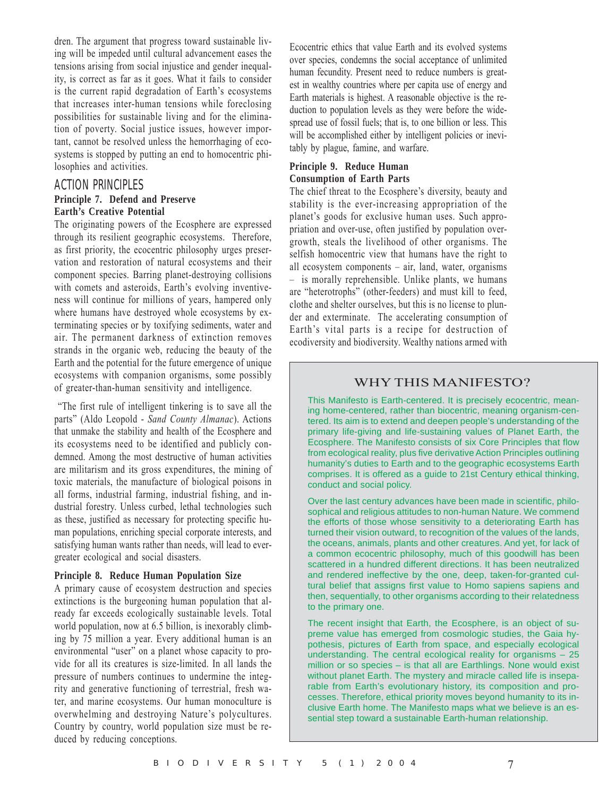dren. The argument that progress toward sustainable living will be impeded until cultural advancement eases the tensions arising from social injustice and gender inequality, is correct as far as it goes. What it fails to consider is the current rapid degradation of Earth's ecosystems that increases inter-human tensions while foreclosing possibilities for sustainable living and for the elimination of poverty. Social justice issues, however important, cannot be resolved unless the hemorrhaging of ecosystems is stopped by putting an end to homocentric philosophies and activities.

# ACTION PRINCIPLES **Principle 7. Defend and Preserve Earth's Creative Potential**

The originating powers of the Ecosphere are expressed through its resilient geographic ecosystems. Therefore, as first priority, the ecocentric philosophy urges preservation and restoration of natural ecosystems and their component species. Barring planet-destroying collisions with comets and asteroids, Earth's evolving inventiveness will continue for millions of years, hampered only where humans have destroyed whole ecosystems by exterminating species or by toxifying sediments, water and air. The permanent darkness of extinction removes strands in the organic web, reducing the beauty of the Earth and the potential for the future emergence of unique ecosystems with companion organisms, some possibly of greater-than-human sensitivity and intelligence.

 "The first rule of intelligent tinkering is to save all the parts" (Aldo Leopold - *Sand County Almanac*). Actions that unmake the stability and health of the Ecosphere and its ecosystems need to be identified and publicly condemned. Among the most destructive of human activities are militarism and its gross expenditures, the mining of toxic materials, the manufacture of biological poisons in all forms, industrial farming, industrial fishing, and industrial forestry. Unless curbed, lethal technologies such as these, justified as necessary for protecting specific human populations, enriching special corporate interests, and satisfying human wants rather than needs, will lead to evergreater ecological and social disasters.

#### **Principle 8. Reduce Human Population Size**

A primary cause of ecosystem destruction and species extinctions is the burgeoning human population that already far exceeds ecologically sustainable levels. Total world population, now at 6.5 billion, is inexorably climbing by 75 million a year. Every additional human is an environmental "user" on a planet whose capacity to provide for all its creatures is size-limited. In all lands the pressure of numbers continues to undermine the integrity and generative functioning of terrestrial, fresh water, and marine ecosystems. Our human monoculture is overwhelming and destroying Nature's polycultures. Country by country, world population size must be reduced by reducing conceptions.

Ecocentric ethics that value Earth and its evolved systems over species, condemns the social acceptance of unlimited human fecundity. Present need to reduce numbers is greatest in wealthy countries where per capita use of energy and Earth materials is highest. A reasonable objective is the reduction to population levels as they were before the widespread use of fossil fuels; that is, to one billion or less. This will be accomplished either by intelligent policies or inevitably by plague, famine, and warfare.

## **Principle 9. Reduce Human Consumption of Earth Parts**

The chief threat to the Ecosphere's diversity, beauty and stability is the ever-increasing appropriation of the planet's goods for exclusive human uses. Such appropriation and over-use, often justified by population overgrowth, steals the livelihood of other organisms. The selfish homocentric view that humans have the right to all ecosystem components – air, land, water, organisms – is morally reprehensible. Unlike plants, we humans are "heterotrophs" (other-feeders) and must kill to feed, clothe and shelter ourselves, but this is no license to plunder and exterminate. The accelerating consumption of Earth's vital parts is a recipe for destruction of ecodiversity and biodiversity. Wealthy nations armed with

## WHY THIS MANIFESTO?

This Manifesto is Earth-centered. It is precisely ecocentric, meaning home-centered, rather than biocentric, meaning organism-centered. Its aim is to extend and deepen people's understanding of the primary life-giving and life-sustaining values of Planet Earth, the Ecosphere. The Manifesto consists of six Core Principles that flow from ecological reality, plus five derivative Action Principles outlining humanity's duties to Earth and to the geographic ecosystems Earth comprises. It is offered as a guide to 21st Century ethical thinking, conduct and social policy.

Over the last century advances have been made in scientific, philosophical and religious attitudes to non-human Nature. We commend the efforts of those whose sensitivity to a deteriorating Earth has turned their vision outward, to recognition of the values of the lands, the oceans, animals, plants and other creatures. And yet, for lack of a common ecocentric philosophy, much of this goodwill has been scattered in a hundred different directions. It has been neutralized and rendered ineffective by the one, deep, taken-for-granted cultural belief that assigns first value to Homo sapiens sapiens and then, sequentially, to other organisms according to their relatedness to the primary one.

The recent insight that Earth, the Ecosphere, is an object of supreme value has emerged from cosmologic studies, the Gaia hypothesis, pictures of Earth from space, and especially ecological understanding. The central ecological reality for organisms – 25 million or so species – is that all are Earthlings. None would exist without planet Earth. The mystery and miracle called life is inseparable from Earth's evolutionary history, its composition and processes. Therefore, ethical priority moves beyond humanity to its inclusive Earth home. The Manifesto maps what we believe is an essential step toward a sustainable Earth-human relationship.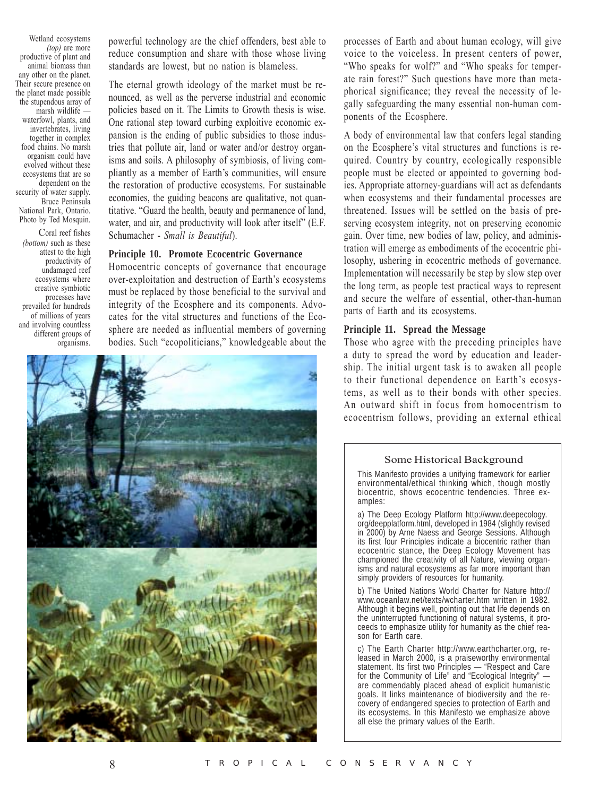Wetland ecosystems *(top)* are more productive of plant and animal biomass than any other on the planet. Their secure presence on the planet made possible the stupendous array of marsh wildlife waterfowl, plants, and invertebrates, living together in complex food chains. No marsh organism could have evolved without these ecosystems that are so dependent on the security of water supply. Bruce Peninsula National Park, Ontario. Photo by Ted Mosquin.

Coral reef fishes *(bottom)* such as these attest to the high productivity of undamaged reef ecosystems where creative symbiotic processes have prevailed for hundreds of millions of years and involving countless different groups of organisms.

powerful technology are the chief offenders, best able to reduce consumption and share with those whose living standards are lowest, but no nation is blameless.

The eternal growth ideology of the market must be renounced, as well as the perverse industrial and economic policies based on it. The Limits to Growth thesis is wise. One rational step toward curbing exploitive economic expansion is the ending of public subsidies to those industries that pollute air, land or water and/or destroy organisms and soils. A philosophy of symbiosis, of living compliantly as a member of Earth's communities, will ensure the restoration of productive ecosystems. For sustainable economies, the guiding beacons are qualitative, not quantitative. "Guard the health, beauty and permanence of land, water, and air, and productivity will look after itself" (E.F. Schumacher - *Small is Beautiful*).

#### **Principle 10. Promote Ecocentric Governance**

Homocentric concepts of governance that encourage over-exploitation and destruction of Earth's ecosystems must be replaced by those beneficial to the survival and integrity of the Ecosphere and its components. Advocates for the vital structures and functions of the Ecosphere are needed as influential members of governing bodies. Such "ecopoliticians," knowledgeable about the



processes of Earth and about human ecology, will give voice to the voiceless. In present centers of power, "Who speaks for wolf?" and "Who speaks for temperate rain forest?" Such questions have more than metaphorical significance; they reveal the necessity of legally safeguarding the many essential non-human components of the Ecosphere.

A body of environmental law that confers legal standing on the Ecosphere's vital structures and functions is required. Country by country, ecologically responsible people must be elected or appointed to governing bodies. Appropriate attorney-guardians will act as defendants when ecosystems and their fundamental processes are threatened. Issues will be settled on the basis of preserving ecosystem integrity, not on preserving economic gain. Over time, new bodies of law, policy, and administration will emerge as embodiments of the ecocentric philosophy, ushering in ecocentric methods of governance. Implementation will necessarily be step by slow step over the long term, as people test practical ways to represent and secure the welfare of essential, other-than-human parts of Earth and its ecosystems.

#### **Principle 11. Spread the Message**

Those who agree with the preceding principles have a duty to spread the word by education and leadership. The initial urgent task is to awaken all people to their functional dependence on Earth's ecosystems, as well as to their bonds with other species. An outward shift in focus from homocentrism to ecocentrism follows, providing an external ethical

#### Some Historical Background

This Manifesto provides a unifying framework for earlier environmental/ethical thinking which, though mostly biocentric, shows ecocentric tendencies. Three examples:

a) The Deep Ecology Platform http://www.deepecology. org/deepplatform.html, developed in 1984 (slightly revised in 2000) by Arne Naess and George Sessions. Although its first four Principles indicate a biocentric rather than ecocentric stance, the Deep Ecology Movement has championed the creativity of all Nature, viewing organisms and natural ecosystems as far more important than simply providers of resources for humanity.

b) The United Nations World Charter for Nature http:// www.oceanlaw.net/texts/wcharter.htm written in 1982. Although it begins well, pointing out that life depends on the uninterrupted functioning of natural systems, it proceeds to emphasize utility for humanity as the chief reason for Earth care.

c) The Earth Charter http://www.earthcharter.org, released in March 2000, is a praiseworthy environmental statement. Its first two Principles — "Respect and Care for the Community of Life" and "Ecological Integrity" are commendably placed ahead of explicit humanistic goals. It links maintenance of biodiversity and the recovery of endangered species to protection of Earth and its ecosystems. In this Manifesto we emphasize above all else the primary values of the Earth.